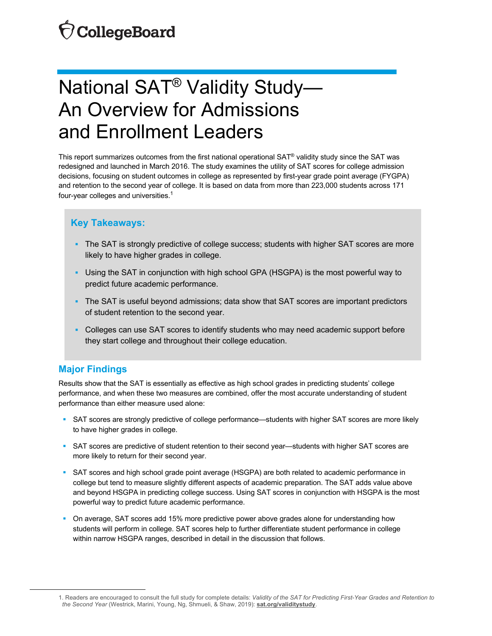# CollegeBoard

# National SAT® Validity Study— An Overview for Admissions and Enrollment Leaders

This report summarizes outcomes from the first national operational SAT® validity study since the SAT was redesigned and launched in March 2016. The study examines the utility of SAT scores for college admission decisions, focusing on student outcomes in college as represented by first-year grade point average (FYGPA) and retention to the second year of college. It is based on data from more than 223,000 students across 171 four-year colleges and universities.1

## **Key Takeaways:**

- The SAT is strongly predictive of college success; students with higher SAT scores are more likely to have higher grades in college.
- Using the SAT in conjunction with high school GPA (HSGPA) is the most powerful way to predict future academic performance.
- The SAT is useful beyond admissions; data show that SAT scores are important predictors of student retention to the second year.
- Colleges can use SAT scores to identify students who may need academic support before they start college and throughout their college education.

## **Major Findings**

 Results show that the SAT is essentially as effective as high school grades in predicting students' college performance, and when these two measures are combined, offer the most accurate understanding of student performance than either measure used alone:

- • SAT scores are strongly predictive of college performance—students with higher SAT scores are more likely to have higher grades in college.
- • SAT scores are predictive of student retention to their second year—students with higher SAT scores are more likely to return for their second year.
- • SAT scores and high school grade point average (HSGPA) are both related to academic performance in college but tend to measure slightly different aspects of academic preparation. The SAT adds value above and beyond HSGPA in predicting college success. Using SAT scores in conjunction with HSGPA is the most powerful way to predict future academic performance.
- • On average, SAT scores add 15% more predictive power above grades alone for understanding how students will perform in college. SAT scores help to further differentiate student performance in college within narrow HSGPA ranges, described in detail in the discussion that follows.

 1. Readers are encouraged to consult the full study for complete details: *Validity of the SAT for Predicting First-Year Grades and Retention to the Second Year* (Westrick, Marini, Young, Ng, Shmueli, & Shaw, 2019): **[sat.org/validitystudy](https://sat.org/validitystudy)**.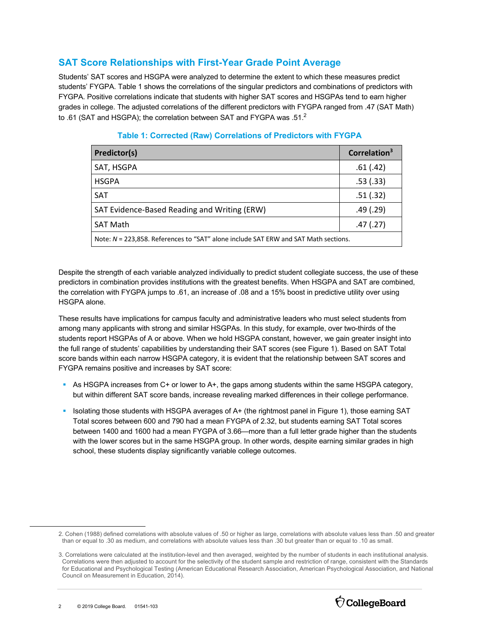## **SAT Score Relationships with First-Year Grade Point Average**

 Students' SAT scores and HSGPA were analyzed to determine the extent to which these measures predict students' FYGPA. Table 1 shows the correlations of the singular predictors and combinations of predictors with FYGPA. Positive correlations indicate that students with higher SAT scores and HSGPAs tend to earn higher grades in college. The adjusted correlations of the different predictors with FYGPA ranged from .47 (SAT Math) to .61 (SAT and HSGPA); the correlation between SAT and FYGPA was .51.<sup>2</sup>

| Predictor(s)                                                                        | Correlation <sup>3</sup> |
|-------------------------------------------------------------------------------------|--------------------------|
| SAT, HSGPA                                                                          | .61(.42)                 |
| <b>HSGPA</b>                                                                        | .53(.33)                 |
| <b>SAT</b>                                                                          | .51(.32)                 |
| SAT Evidence-Based Reading and Writing (ERW)                                        | .49(.29)                 |
| <b>SAT Math</b>                                                                     | .47(0.27)                |
| Note: N = 223,858. References to "SAT" alone include SAT ERW and SAT Math sections. |                          |

### **Table 1: Corrected (Raw) Correlations of Predictors with FYGPA**

 Despite the strength of each variable analyzed individually to predict student collegiate success, the use of these predictors in combination provides institutions with the greatest benefits. When HSGPA and SAT are combined, the correlation with FYGPA jumps to .61, an increase of .08 and a 15% boost in predictive utility over using HSGPA alone.

 These results have implications for campus faculty and administrative leaders who must select students from among many applicants with strong and similar HSGPAs. In this study, for example, over two-thirds of the students report HSGPAs of A or above. When we hold HSGPA constant, however, we gain greater insight into the full range of students' capabilities by understanding their SAT scores (see Figure 1). Based on SAT Total score bands within each narrow HSGPA category, it is evident that the relationship between SAT scores and FYGPA remains positive and increases by SAT score:

- • As HSGPA increases from C+ or lower to A+, the gaps among students within the same HSGPA category, but within different SAT score bands, increase revealing marked differences in their college performance.
- • Isolating those students with HSGPA averages of A+ (the rightmost panel in Figure 1), those earning SAT Total scores between 600 and 790 had a mean FYGPA of 2.32, but students earning SAT Total scores between 1400 and 1600 had a mean FYGPA of 3.66—more than a full letter grade higher than the students with the lower scores but in the same HSGPA group. In other words, despite earning similar grades in high school, these students display significantly variable college outcomes.



<sup>2.</sup> Cohen (1988) defined correlations with absolute values of .50 or higher as large, correlations with absolute values less than .50 and greater than or equal to .30 as medium, and correlations with absolute values less than .30 but greater than or equal to .10 as small.

<sup>3.</sup> Correlations were calculated at the institution-level and then averaged, weighted by the number of students in each institutional analysis. Correlations were then adjusted to account for the selectivity of the student sample and restriction of range, consistent with the Standards for Educational and Psychological Testing (American Educational Research Association, American Psychological Association, and National Council on Measurement in Education, 2014).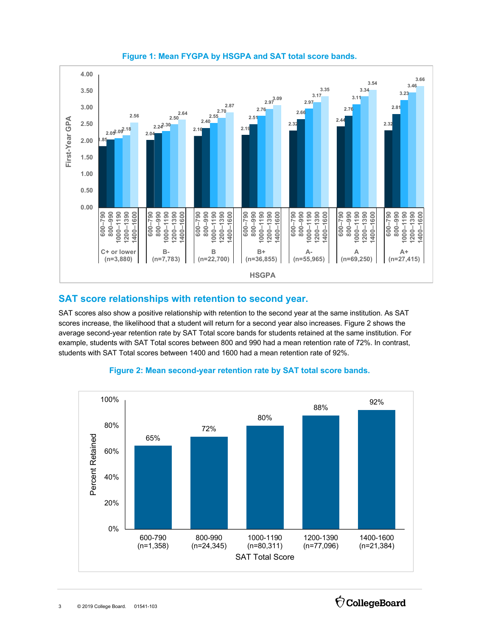

### **Figure 1: Mean FYGPA by HSGPA and SAT total score bands.**

## **SAT score relationships with retention to second year.**

SAT scores also show a positive relationship with retention to the second year at the same institution. As SAT scores increase, the likelihood that a student will return for a second year also increases. Figure 2 shows the average second-year retention rate by SAT Total score bands for students retained at the same institution. For example, students with SAT Total scores between 800 and 990 had a mean retention rate of 72%. In contrast, students with SAT Total scores between 1400 and 1600 had a mean retention rate of 92%.



#### **Figure 2: Mean second-year retention rate by SAT total score bands.**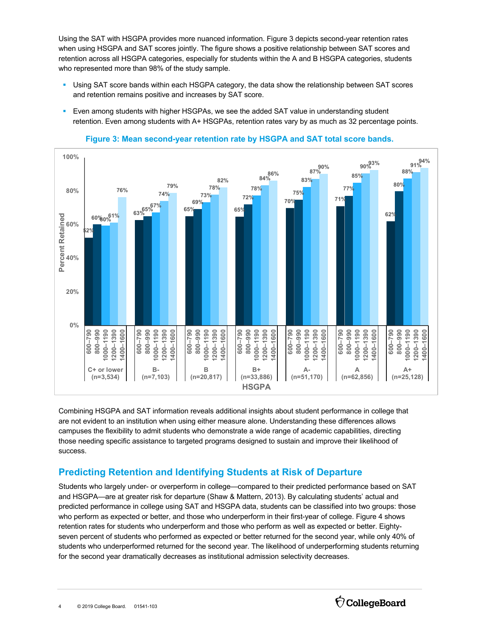Using the SAT with HSGPA provides more nuanced information. Figure 3 depicts second-year retention rates when using HSGPA and SAT scores jointly. The figure shows a positive relationship between SAT scores and retention across all HSGPA categories, especially for students within the A and B HSGPA categories, students who represented more than 98% of the study sample.

- Using SAT score bands within each HSGPA category, the data show the relationship between SAT scores and retention remains positive and increases by SAT score.
- Even among students with higher HSGPAs, we see the added SAT value in understanding student retention. Even among students with A+ HSGPAs, retention rates vary by as much as 32 percentage points.



#### **Figure 3: Mean second-year retention rate by HSGPA and SAT total score bands.**

Combining HSGPA and SAT information reveals additional insights about student performance in college that are not evident to an institution when using either measure alone. Understanding these differences allows campuses the flexibility to admit students who demonstrate a wide range of academic capabilities, directing those needing specific assistance to targeted programs designed to sustain and improve their likelihood of success.

## **Predicting Retention and Identifying Students at Risk of Departure**

Students who largely under- or overperform in college—compared to their predicted performance based on SAT and HSGPA—are at greater risk for departure (Shaw & Mattern, 2013). By calculating students' actual and predicted performance in college using SAT and HSGPA data, students can be classified into two groups: those who perform as expected or better, and those who underperform in their first-year of college. Figure 4 shows retention rates for students who underperform and those who perform as well as expected or better. Eightyseven percent of students who performed as expected or better returned for the second year, while only 40% of students who underperformed returned for the second year. The likelihood of underperforming students returning for the second year dramatically decreases as institutional admission selectivity decreases.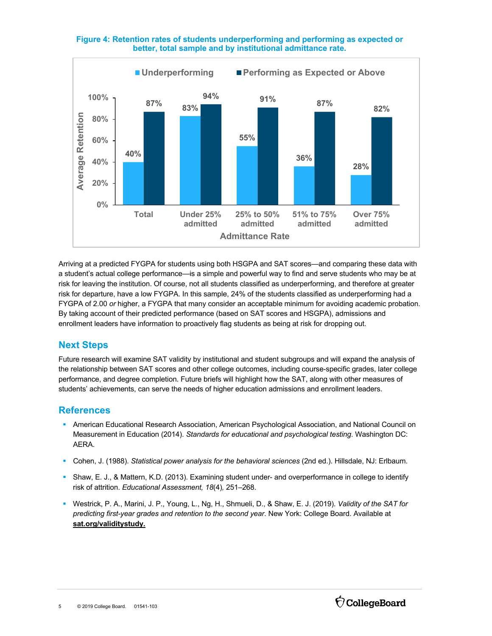

**Figure 4: Retention rates of students underperforming and performing as expected or better, total sample and by institutional admittance rate.** 

Arriving at a predicted FYGPA for students using both HSGPA and SAT scores—and comparing these data with a student's actual college performance—is a simple and powerful way to find and serve students who may be at risk for leaving the institution. Of course, not all students classified as underperforming, and therefore at greater risk for departure, have a low FYGPA. In this sample, 24% of the students classified as underperforming had a FYGPA of 2.00 *or* higher, a FYGPA that many consider an acceptable minimum for avoiding academic probation. By taking account of their predicted performance (based on SAT scores and HSGPA), admissions and enrollment leaders have information to proactively flag students as being at risk for dropping out.

## **Next Steps**

Future research will examine SAT validity by institutional and student subgroups and will expand the analysis of the relationship between SAT scores and other college outcomes, including course-specific grades, later college performance, and degree completion. Future briefs will highlight how the SAT, along with other measures of students' achievements, can serve the needs of higher education admissions and enrollment leaders.

#### **References**

- American Educational Research Association, American Psychological Association, and National Council on Measurement in Education (2014). *Standards for educational and psychological testing*. Washington DC: AERA.
- Cohen, J. (1988). *Statistical power analysis for the behavioral sciences* (2nd ed.). Hillsdale, NJ: Erlbaum.
- Shaw, E. J., & Mattern, K.D. (2013). Examining student under- and overperformance in college to identify risk of attrition. *Educational Assessment, 18*(4)*,* 251–268.
- Westrick, P. A., Marini, J. P., Young, L., Ng, H., Shmueli, D., & Shaw, E. J. (2019). *Validity of the SAT for predicting first-year grades and retention to the second year*. New York: College Board. Available at **[sat.org/validitystudy.](http://sat.org/validitystudy)**

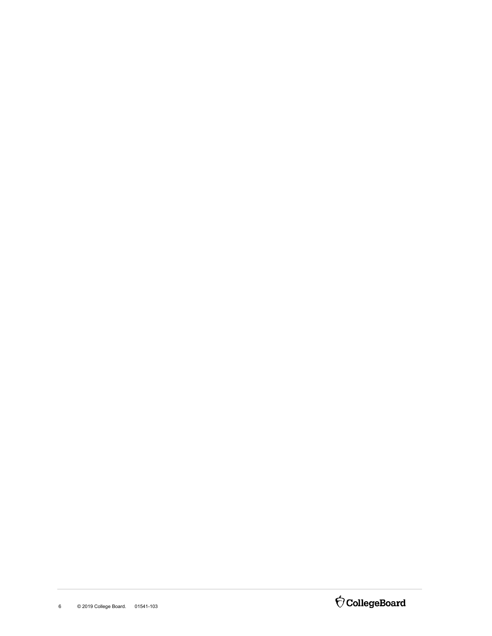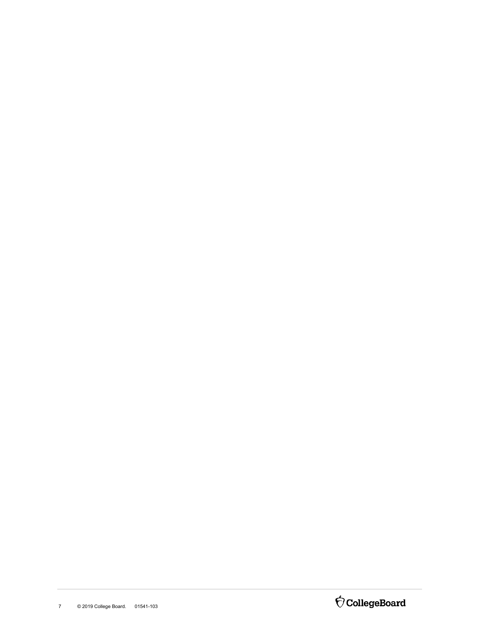